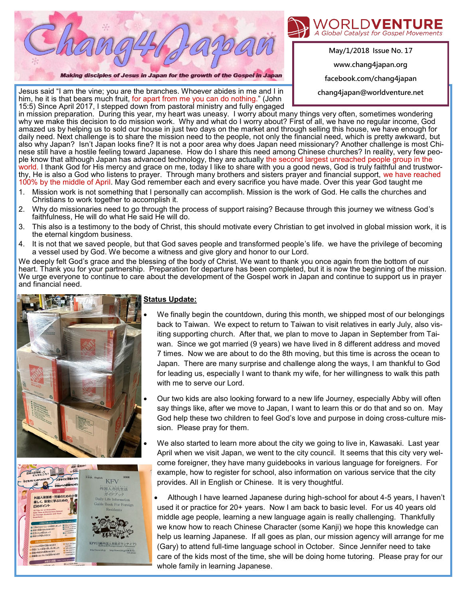

Making disciples of Jesus in Japan for the growth of the Gospel in Japan



**May/1/2018 Issue No. 17 www.chang4japan.org** 

**facebook.com/chang4japan** 

**chang4japan@worldventure.net**

Jesus said "I am the vine; you are the branches. Whoever abides in me and I in him, he it is that bears much fruit, for apart from me you can do nothing." (John 15:5) Since April 2017, I stepped down from pastoral ministry and fully engaged

in mission preparation. During this year, my heart was uneasy. I worry about many things very often, sometimes wondering why we make this decision to do mission work. Why and what do I worry about? First of all, we have no regular income, God amazed us by helping us to sold our house in just two days on the market and through selling this house, we have enough for daily need. Next challenge is to share the mission need to the people, not only the financial need, which is pretty awkward, but also why Japan? Isn't Japan looks fine? It is not a poor area why does Japan need missionary? Another challenge is most Chinese still have a hostile feeling toward Japanese. How do I share this need among Chinese churches? In reality, very few people know that although Japan has advanced technology, they are actually the second largest unreached people group in the world. I thank God for His mercy and grace on me, today I like to share with you a good news, God is truly faithful and trustworthy, He is also a God who listens to prayer. Through many brothers and sisters prayer and financial support, we have reached 100% by the middle of April. May God remember each and every sacrifice you have made. Over this year God taught me

- 1. Mission work is not something that I personally can accomplish. Mission is the work of God. He calls the churches and Christians to work together to accomplish it.
- 2. Why do missionaries need to go through the process of support raising? Because through this journey we witness God's faithfulness, He will do what He said He will do.
- 3. This also is a testimony to the body of Christ, this should motivate every Christian to get involved in global mission work, it is the eternal kingdom business.
- 4. It is not that we saved people, but that God saves people and transformed people's life. we have the privilege of becoming a vessel used by God. We become a witness and give glory and honor to our Lord.

We deeply felt God's grace and the blessing of the body of Christ. We want to thank you once again from the bottom of our heart. Thank you for your partnership. Preparation for departure has been completed, but it is now the beginning of the mission. We urge everyone to continue to care about the development of the Gospel work in Japan and continue to support us in prayer and financial need.





## **Status Update:**

- We finally begin the countdown, during this month, we shipped most of our belongings back to Taiwan. We expect to return to Taiwan to visit relatives in early July, also visiting supporting church. After that, we plan to move to Japan in September from Taiwan. Since we got married (9 years) we have lived in 8 different address and moved 7 times. Now we are about to do the 8th moving, but this time is across the ocean to Japan. There are many surprise and challenge along the ways, I am thankful to God for leading us, especially I want to thank my wife, for her willingness to walk this path with me to serve our Lord.
- Our two kids are also looking forward to a new life Journey, especially Abby will often say things like, after we move to Japan, I want to learn this or do that and so on. May God help these two children to feel God's love and purpose in doing cross-culture mission. Please pray for them.
- We also started to learn more about the city we going to live in, Kawasaki. Last year April when we visit Japan, we went to the city council. It seems that this city very welcome foreigner, they have many guidebooks in various language for foreigners. For example, how to register for school, also information on various service that the city provides. All in English or Chinese. It is very thoughtful.

• Although I have learned Japanese during high-school for about 4-5 years, I haven't used it or practice for 20+ years. Now I am back to basic level. For us 40 years old middle age people, learning a new language again is really challenging. Thankfully we know how to reach Chinese Character (some Kanji) we hope this knowledge can help us learning Japanese. If all goes as plan, our mission agency will arrange for me (Gary) to attend full-time language school in October. Since Jennifer need to take care of the kids most of the time, she will be doing home tutoring. Please pray for our whole family in learning Japanese.